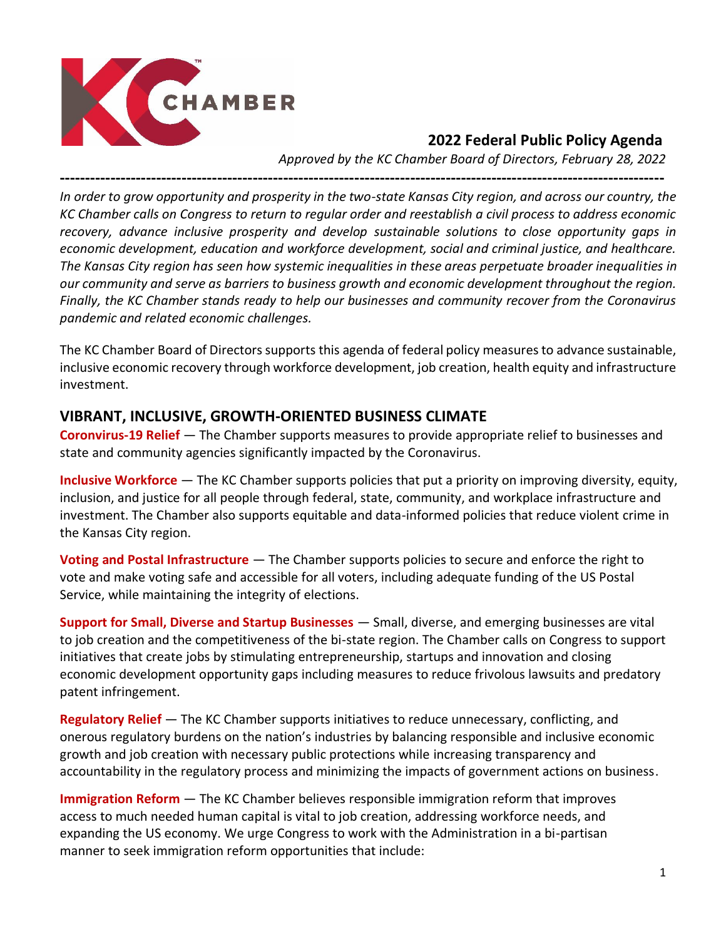

### **2022 Federal Public Policy Agenda**

*Approved by the KC Chamber Board of Directors, February 28, 2022*

**-----------------------------------------------------------------------------------------------------------------------**

*In order to grow opportunity and prosperity in the two-state Kansas City region, and across our country, the KC Chamber calls on Congress to return to regular order and reestablish a civil process to address economic recovery, advance inclusive prosperity and develop sustainable solutions to close opportunity gaps in economic development, education and workforce development, social and criminal justice, and healthcare. The Kansas City region has seen how systemic inequalities in these areas perpetuate broader inequalities in our community and serve as barriers to business growth and economic development throughout the region. Finally, the KC Chamber stands ready to help our businesses and community recover from the Coronavirus pandemic and related economic challenges.* 

The KC Chamber Board of Directors supports this agenda of federal policy measures to advance sustainable, inclusive economic recovery through workforce development, job creation, health equity and infrastructure investment.

#### **VIBRANT, INCLUSIVE, GROWTH-ORIENTED BUSINESS CLIMATE**

**Coronvirus-19 Relief** — The Chamber supports measures to provide appropriate relief to businesses and state and community agencies significantly impacted by the Coronavirus.

**Inclusive Workforce** — The KC Chamber supports policies that put a priority on improving diversity, equity, inclusion, and justice for all people through federal, state, community, and workplace infrastructure and investment. The Chamber also supports equitable and data-informed policies that reduce violent crime in the Kansas City region.

**Voting and Postal Infrastructure** — The Chamber supports policies to secure and enforce the right to vote and make voting safe and accessible for all voters, including adequate funding of the US Postal Service, while maintaining the integrity of elections.

**Support for Small, Diverse and Startup Businesses** — Small, diverse, and emerging businesses are vital to job creation and the competitiveness of the bi-state region. The Chamber calls on Congress to support initiatives that create jobs by stimulating entrepreneurship, startups and innovation and closing economic development opportunity gaps including measures to reduce frivolous lawsuits and predatory patent infringement.

**Regulatory Relief** — The KC Chamber supports initiatives to reduce unnecessary, conflicting, and onerous regulatory burdens on the nation's industries by balancing responsible and inclusive economic growth and job creation with necessary public protections while increasing transparency and accountability in the regulatory process and minimizing the impacts of government actions on business.

**Immigration Reform** — The KC Chamber believes responsible immigration reform that improves access to much needed human capital is vital to job creation, addressing workforce needs, and expanding the US economy. We urge Congress to work with the Administration in a bi-partisan manner to seek immigration reform opportunities that include: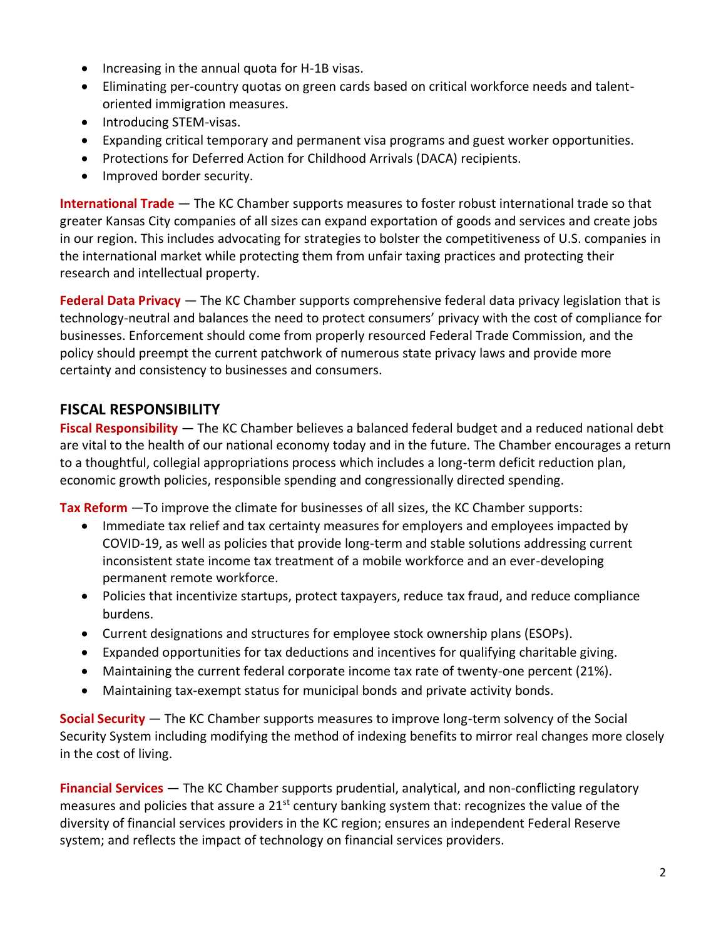- Increasing in the annual quota for H-1B visas.
- Eliminating per-country quotas on green cards based on critical workforce needs and talentoriented immigration measures.
- Introducing STEM-visas.
- Expanding critical temporary and permanent visa programs and guest worker opportunities.
- Protections for Deferred Action for Childhood Arrivals (DACA) recipients.
- Improved border security.

**International Trade** — The KC Chamber supports measures to foster robust international trade so that greater Kansas City companies of all sizes can expand exportation of goods and services and create jobs in our region. This includes advocating for strategies to bolster the competitiveness of U.S. companies in the international market while protecting them from unfair taxing practices and protecting their research and intellectual property.

**Federal Data Privacy** — The KC Chamber supports comprehensive federal data privacy legislation that is technology-neutral and balances the need to protect consumers' privacy with the cost of compliance for businesses. Enforcement should come from properly resourced Federal Trade Commission, and the policy should preempt the current patchwork of numerous state privacy laws and provide more certainty and consistency to businesses and consumers.

### **FISCAL RESPONSIBILITY**

**Fiscal Responsibility** — The KC Chamber believes a balanced federal budget and a reduced national debt are vital to the health of our national economy today and in the future. The Chamber encourages a return to a thoughtful, collegial appropriations process which includes a long-term deficit reduction plan, economic growth policies, responsible spending and congressionally directed spending.

**Tax Reform** —To improve the climate for businesses of all sizes, the KC Chamber supports:

- Immediate tax relief and tax certainty measures for employers and employees impacted by COVID-19, as well as policies that provide long-term and stable solutions addressing current inconsistent state income tax treatment of a mobile workforce and an ever-developing permanent remote workforce.
- Policies that incentivize startups, protect taxpayers, reduce tax fraud, and reduce compliance burdens.
- Current designations and structures for employee stock ownership plans (ESOPs).
- Expanded opportunities for tax deductions and incentives for qualifying charitable giving.
- Maintaining the current federal corporate income tax rate of twenty-one percent (21%).
- Maintaining tax-exempt status for municipal bonds and private activity bonds.

**Social Security** — The KC Chamber supports measures to improve long-term solvency of the Social Security System including modifying the method of indexing benefits to mirror real changes more closely in the cost of living.

**Financial Services** — The KC Chamber supports prudential, analytical, and non-conflicting regulatory measures and policies that assure a 21<sup>st</sup> century banking system that: recognizes the value of the diversity of financial services providers in the KC region; ensures an independent Federal Reserve system; and reflects the impact of technology on financial services providers.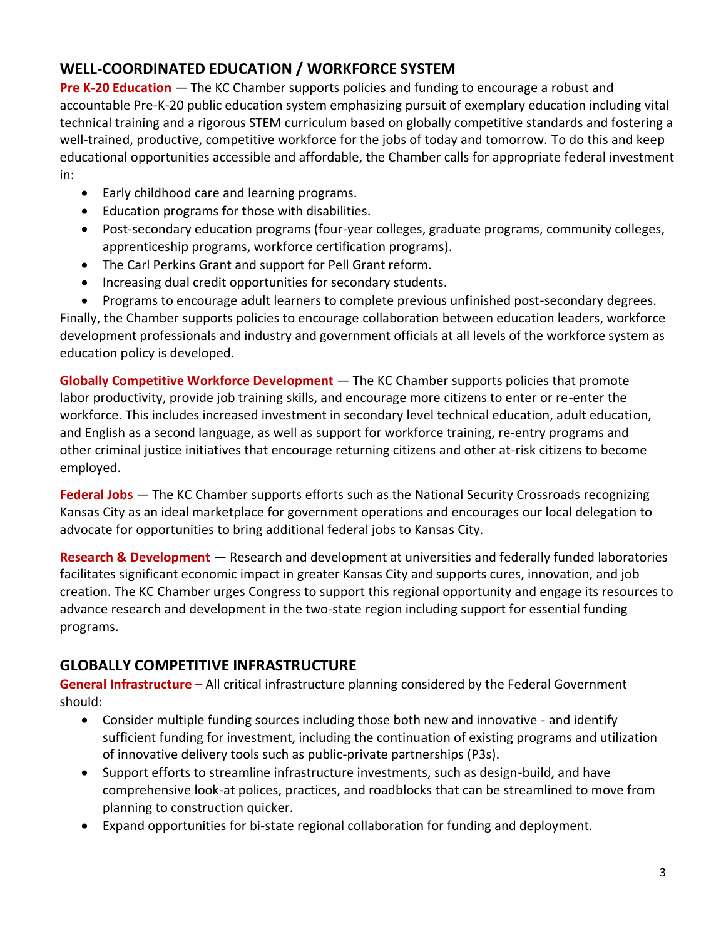## **WELL-COORDINATED EDUCATION / WORKFORCE SYSTEM**

**Pre K-20 Education** — The KC Chamber supports policies and funding to encourage a robust and accountable Pre-K-20 public education system emphasizing pursuit of exemplary education including vital technical training and a rigorous STEM curriculum based on globally competitive standards and fostering a well-trained, productive, competitive workforce for the jobs of today and tomorrow. To do this and keep educational opportunities accessible and affordable, the Chamber calls for appropriate federal investment in:

- Early childhood care and learning programs.
- Education programs for those with disabilities.
- Post-secondary education programs (four-year colleges, graduate programs, community colleges, apprenticeship programs, workforce certification programs).
- The Carl Perkins Grant and support for Pell Grant reform.
- Increasing dual credit opportunities for secondary students.
- Programs to encourage adult learners to complete previous unfinished post-secondary degrees.

Finally, the Chamber supports policies to encourage collaboration between education leaders, workforce development professionals and industry and government officials at all levels of the workforce system as education policy is developed.

**Globally Competitive Workforce Development** — The KC Chamber supports policies that promote labor productivity, provide job training skills, and encourage more citizens to enter or re-enter the workforce. This includes increased investment in secondary level technical education, adult education, and English as a second language, as well as support for workforce training, re-entry programs and other criminal justice initiatives that encourage returning citizens and other at-risk citizens to become employed.

**Federal Jobs** — The KC Chamber supports efforts such as the National Security Crossroads recognizing Kansas City as an ideal marketplace for government operations and encourages our local delegation to advocate for opportunities to bring additional federal jobs to Kansas City.

**Research & Development** — Research and development at universities and federally funded laboratories facilitates significant economic impact in greater Kansas City and supports cures, innovation, and job creation. The KC Chamber urges Congress to support this regional opportunity and engage its resources to advance research and development in the two-state region including support for essential funding programs.

### **GLOBALLY COMPETITIVE INFRASTRUCTURE**

**General Infrastructure –** All critical infrastructure planning considered by the Federal Government should:

- Consider multiple funding sources including those both new and innovative and identify sufficient funding for investment, including the continuation of existing programs and utilization of innovative delivery tools such as public-private partnerships (P3s).
- Support efforts to streamline infrastructure investments, such as design-build, and have comprehensive look-at polices, practices, and roadblocks that can be streamlined to move from planning to construction quicker.
- Expand opportunities for bi-state regional collaboration for funding and deployment.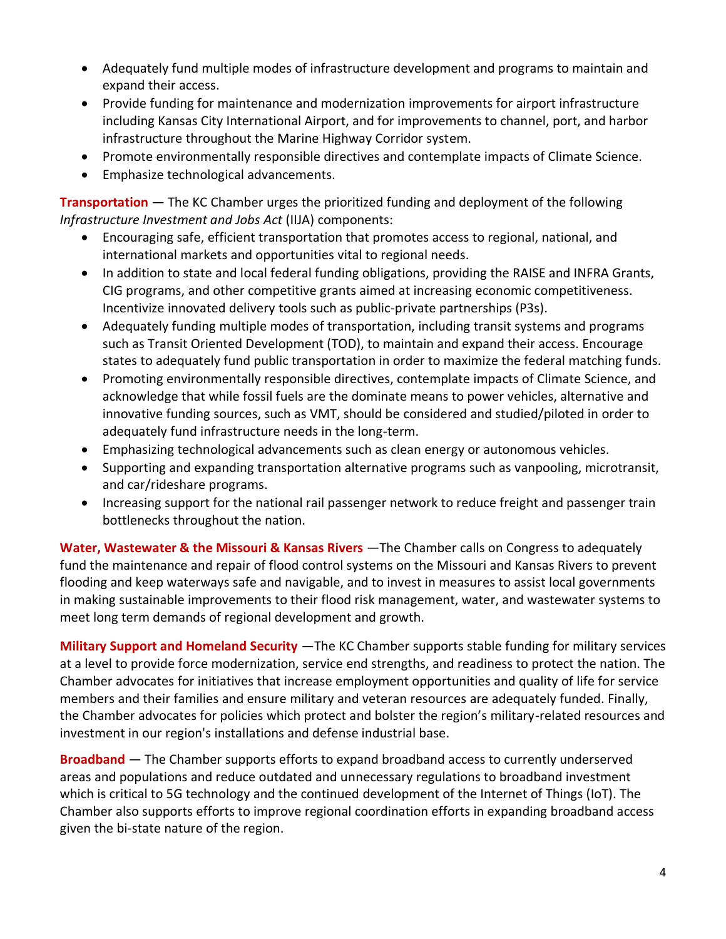- Adequately fund multiple modes of infrastructure development and programs to maintain and expand their access.
- Provide funding for maintenance and modernization improvements for airport infrastructure including Kansas City International Airport, and for improvements to channel, port, and harbor infrastructure throughout the Marine Highway Corridor system.
- Promote environmentally responsible directives and contemplate impacts of Climate Science.
- Emphasize technological advancements.

**Transportation** — The KC Chamber urges the prioritized funding and deployment of the following *Infrastructure Investment and Jobs Act* (IIJA) components:

- Encouraging safe, efficient transportation that promotes access to regional, national, and international markets and opportunities vital to regional needs.
- In addition to state and local federal funding obligations, providing the RAISE and INFRA Grants, CIG programs, and other competitive grants aimed at increasing economic competitiveness. Incentivize innovated delivery tools such as public-private partnerships (P3s).
- Adequately funding multiple modes of transportation, including transit systems and programs such as Transit Oriented Development (TOD), to maintain and expand their access. Encourage states to adequately fund public transportation in order to maximize the federal matching funds.
- Promoting environmentally responsible directives, contemplate impacts of Climate Science, and acknowledge that while fossil fuels are the dominate means to power vehicles, alternative and innovative funding sources, such as VMT, should be considered and studied/piloted in order to adequately fund infrastructure needs in the long-term.
- Emphasizing technological advancements such as clean energy or autonomous vehicles.
- Supporting and expanding transportation alternative programs such as vanpooling, microtransit, and car/rideshare programs.
- Increasing support for the national rail passenger network to reduce freight and passenger train bottlenecks throughout the nation.

Water, Wastewater & the Missouri & Kansas Rivers - The Chamber calls on Congress to adequately fund the maintenance and repair of flood control systems on the Missouri and Kansas Rivers to prevent flooding and keep waterways safe and navigable, and to invest in measures to assist local governments in making sustainable improvements to their flood risk management, water, and wastewater systems to meet long term demands of regional development and growth.

**Military Support and Homeland Security** —The KC Chamber supports stable funding for military services at a level to provide force modernization, service end strengths, and readiness to protect the nation. The Chamber advocates for initiatives that increase employment opportunities and quality of life for service members and their families and ensure military and veteran resources are adequately funded. Finally, the Chamber advocates for policies which protect and bolster the region's military-related resources and investment in our region's installations and defense industrial base.

**Broadband** — The Chamber supports efforts to expand broadband access to currently underserved areas and populations and reduce outdated and unnecessary regulations to broadband investment which is critical to 5G technology and the continued development of the Internet of Things (IoT). The Chamber also supports efforts to improve regional coordination efforts in expanding broadband access given the bi-state nature of the region.